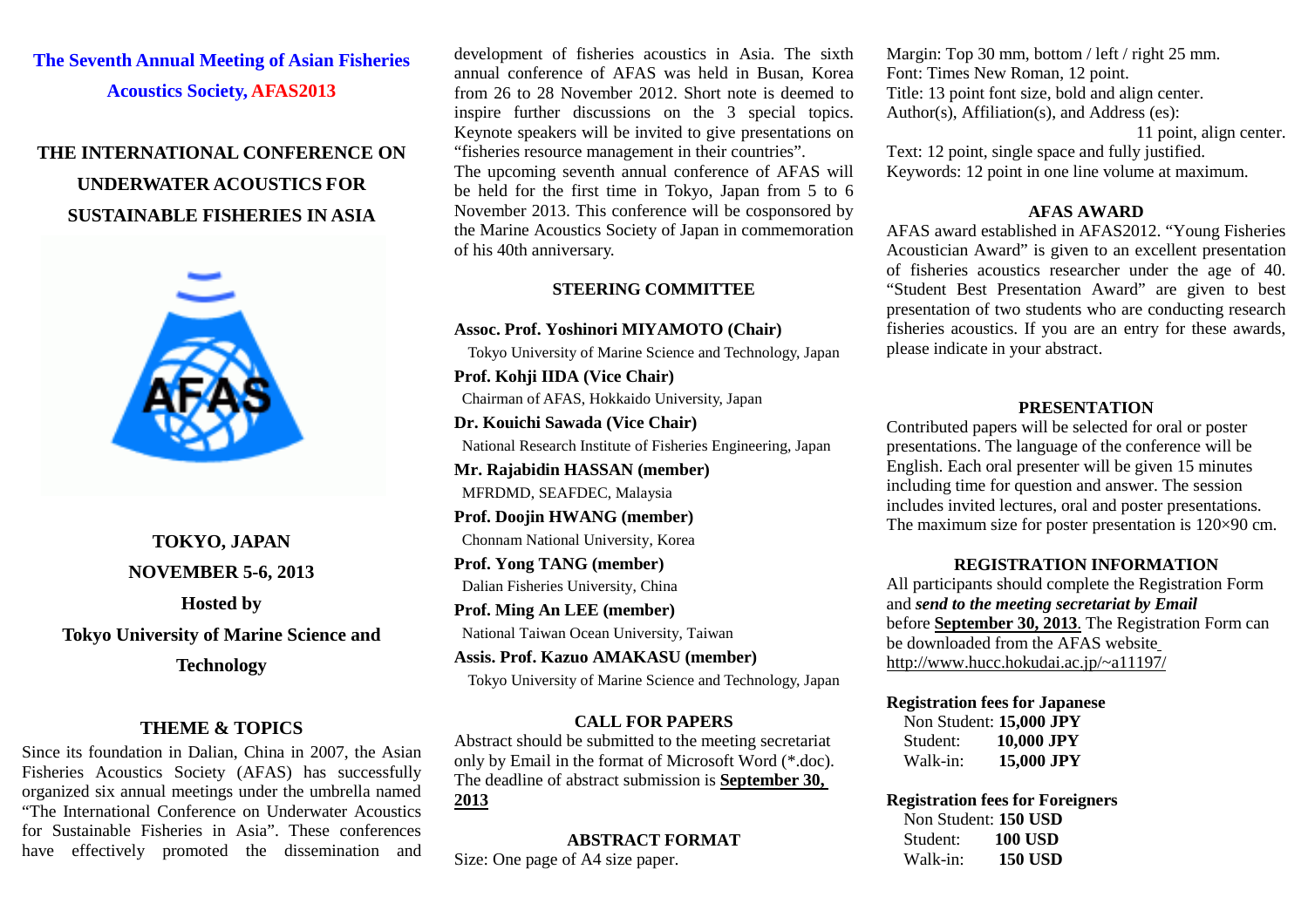# **The Seventh Annual Meeting of Asian Fisheries Acoustics Society, AFAS2013**

# **THE INTERNATIONAL CONFERENCE ON UNDERWATER ACOUSTICS FOR SUSTAINABLE FISHERIES IN ASIA**



**TOKYO, JAPAN NOVEMBER 5-6, 2013 Hosted by Tokyo University of Marine Science and** 

**Technology**

#### **THEME & TOPICS**

Since its foundation in Dalian, China in 2007, the Asian Fisheries Acoustics Society (AFAS) has successfully organized six annual meetings under the umbrella named "The International Conference on Underwater Acoustics for Sustainable Fisheries in Asia". These conferences have effectively promoted the dissemination and

development of fisheries acoustics in Asia. The sixth annual conference of AFAS was held in Busan, Korea from 26 to 28 November 2012. Short note is deemed to inspire further discussions on the 3 special topics. Keynote speakers will be invited to give presentations on "fisheries resource management in their countries".

The upcoming seventh annual conference of AFAS will be held for the first time in Tokyo, Japan from 5 to 6 November 2013. This conference will be cosponsored by the Marine Acoustics Society of Japan in commemoration of his 40th anniversary.

#### **STEERING COMMITTEE**

#### **Assoc. Prof. Yoshinori MIYAMOTO (Chair)**

Tokyo University of Marine Science and Technology, Japan

**Prof. Kohji IIDA (Vice Chair)** Chairman of AFAS, Hokkaido University, Japan **Dr. Kouichi Sawada (Vice Chair)**

National Research Institute of Fisheries Engineering, Japan

**Mr. Rajabidin HASSAN (member)**

MFRDMD, SEAFDEC, Malaysia

**Prof. Doojin HWANG (member)**

Chonnam National University, Korea

**Prof. Yong TANG (member)**

Dalian Fisheries University, China

**Prof. Ming An LEE (member)**

National Taiwan Ocean University, Taiwan

**Assis. Prof. Kazuo AMAKASU (member)** Tokyo University of Marine Science and Technology, Japan

### **CALL FOR PAPERS**

Abstract should be submitted to the meeting secretariat only by Email in the format of Microsoft Word (\*.doc). The deadline of abstract submission is **September 30, 2013**

**ABSTRACT FORMAT** Size: One page of A4 size paper.

Margin: Top 30 mm, bottom / left / right 25 mm. Font: Times New Roman, 12 point. Title: 13 point font size, bold and align center. Author(s), Affiliation(s), and Address (es): 11 point, align center. Text: 12 point, single space and fully justified. Keywords: 12 point in one line volume at maximum.

#### **AFAS AWARD**

AFAS award established in AFAS2012. "Young Fisheries Acoustician Award" is given to an excellent presentation of fisheries acoustics researcher under the age of 40. "Student Best Presentation Award" are given to best presentation of two students who are conducting research fisheries acoustics. If you are an entry for these awards, please indicate in your abstract.

### **PRESENTATION**

Contributed papers will be selected for oral or poster presentations. The language of the conference will be English. Each oral presenter will be given 15 minutes including time for question and answer. The session includes invited lectures, oral and poster presentations. The maximum size for poster presentation is 120×90 cm.

### **REGISTRATION INFORMATION**

All participants should complete the Registration Form and *send to the meeting secretariat by Email*  before **September 30, 2013**. The Registration Form can be downloaded from the AFAS website http://www.hucc.hokudai.ac.jp/~a11197/

#### **Registration fees for Japanese**

 Non Student: **15,000 JPY** Student: **10,000 JPY** Walk-in: **15,000 JPY**

**Registration fees for Foreigners** Non Student: **150 USD** Student: **100 USD** Walk-in: **150 USD**